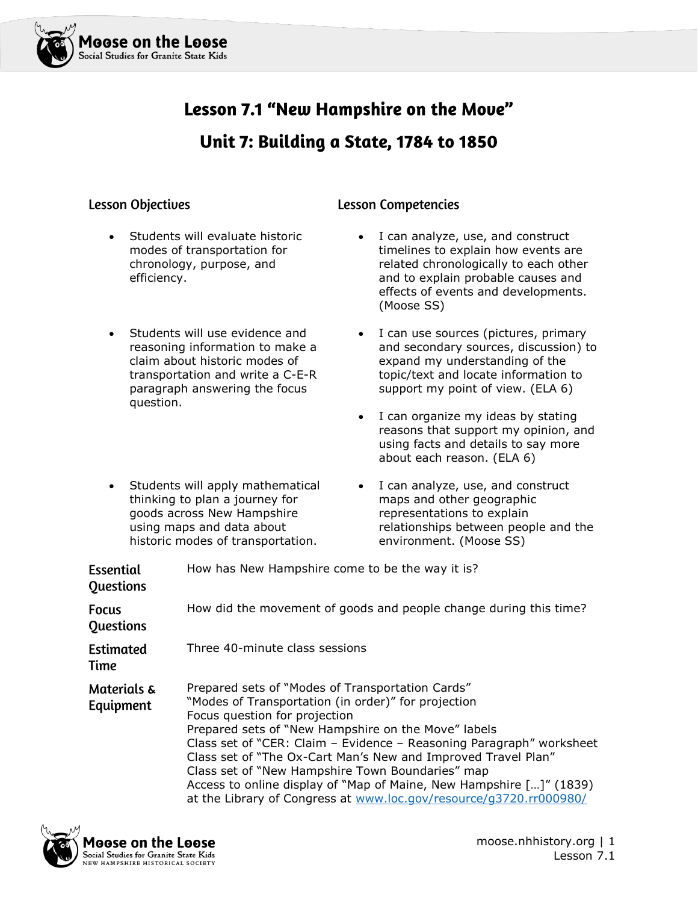

# Lesson 7.1 "New Hampshire on the Move" Unit 7: Building a State, 1784 to 1850

#### **Lesson Objectives**

- Students will evaluate historic modes of transportation for chronology, purpose, and efficiency.
- Students will use evidence and reasoning information to make a claim about historic modes of transportation and write a C-E-R paragraph answering the focus question.
- Students will apply mathematical thinking to plan a journey for goods across New Hampshire using maps and data about historic modes of transportation.

#### **Lesson Competencies**

- I can analyze, use, and construct timelines to explain how events are related chronologically to each other and to explain probable causes and effects of events and developments. (Moose SS)
- I can use sources (pictures, primary and secondary sources, discussion) to expand my understanding of the topic/text and locate information to support my point of view. (ELA 6)
- I can organize my ideas by stating reasons that support my opinion, and using facts and details to say more about each reason. (ELA 6)
- I can analyze, use, and construct maps and other geographic representations to explain relationships between people and the environment. (Moose SS)

| <b>Essential</b><br><b>Questions</b> | How has New Hampshire come to be the way it is?                                                                                                                                                                                                                                                                                                                                                                                                                                                                                           |
|--------------------------------------|-------------------------------------------------------------------------------------------------------------------------------------------------------------------------------------------------------------------------------------------------------------------------------------------------------------------------------------------------------------------------------------------------------------------------------------------------------------------------------------------------------------------------------------------|
| <b>Focus</b><br><b>Questions</b>     | How did the movement of goods and people change during this time?                                                                                                                                                                                                                                                                                                                                                                                                                                                                         |
| <b>Estimated</b><br>Time             | Three 40-minute class sessions                                                                                                                                                                                                                                                                                                                                                                                                                                                                                                            |
| Materials &<br>Equipment             | Prepared sets of "Modes of Transportation Cards"<br>"Modes of Transportation (in order)" for projection<br>Focus question for projection<br>Prepared sets of "New Hampshire on the Move" labels<br>Class set of "CER: Claim - Evidence - Reasoning Paragraph" worksheet<br>Class set of "The Ox-Cart Man's New and Improved Travel Plan"<br>Class set of "New Hampshire Town Boundaries" map<br>Access to online display of "Map of Maine, New Hampshire []" (1839)<br>at the Library of Congress at www.loc.gov/resource/g3720.rr000980/ |

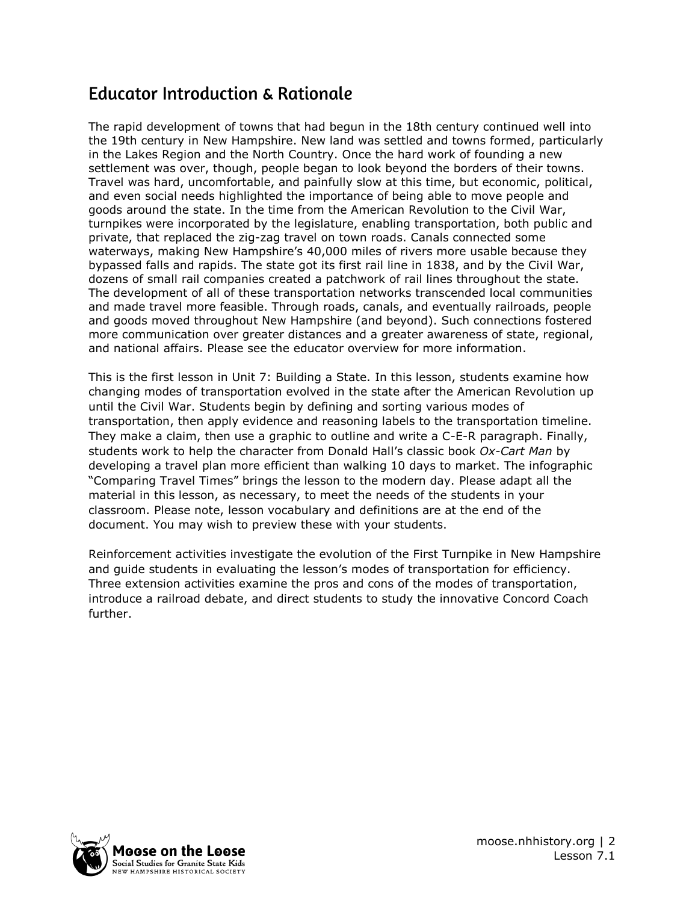### **Educator Introduction & Rationale**

The rapid development of towns that had begun in the 18th century continued well into the 19th century in New Hampshire. New land was settled and towns formed, particularly in the Lakes Region and the North Country. Once the hard work of founding a new settlement was over, though, people began to look beyond the borders of their towns. Travel was hard, uncomfortable, and painfully slow at this time, but economic, political, and even social needs highlighted the importance of being able to move people and goods around the state. In the time from the American Revolution to the Civil War, turnpikes were incorporated by the legislature, enabling transportation, both public and private, that replaced the zig-zag travel on town roads. Canals connected some waterways, making New Hampshire's 40,000 miles of rivers more usable because they bypassed falls and rapids. The state got its first rail line in 1838, and by the Civil War, dozens of small rail companies created a patchwork of rail lines throughout the state. The development of all of these transportation networks transcended local communities and made travel more feasible. Through roads, canals, and eventually railroads, people and goods moved throughout New Hampshire (and beyond). Such connections fostered more communication over greater distances and a greater awareness of state, regional, and national affairs. Please see the educator overview for more information.

This is the first lesson in Unit 7: Building a State. In this lesson, students examine how changing modes of transportation evolved in the state after the American Revolution up until the Civil War. Students begin by defining and sorting various modes of transportation, then apply evidence and reasoning labels to the transportation timeline. They make a claim, then use a graphic to outline and write a C-E-R paragraph. Finally, students work to help the character from Donald Hall's classic book *Ox-Cart Man* by developing a travel plan more efficient than walking 10 days to market. The infographic "Comparing Travel Times" brings the lesson to the modern day. Please adapt all the material in this lesson, as necessary, to meet the needs of the students in your classroom. Please note, lesson vocabulary and definitions are at the end of the document. You may wish to preview these with your students.

Reinforcement activities investigate the evolution of the First Turnpike in New Hampshire and guide students in evaluating the lesson's modes of transportation for efficiency. Three extension activities examine the pros and cons of the modes of transportation, introduce a railroad debate, and direct students to study the innovative Concord Coach further.

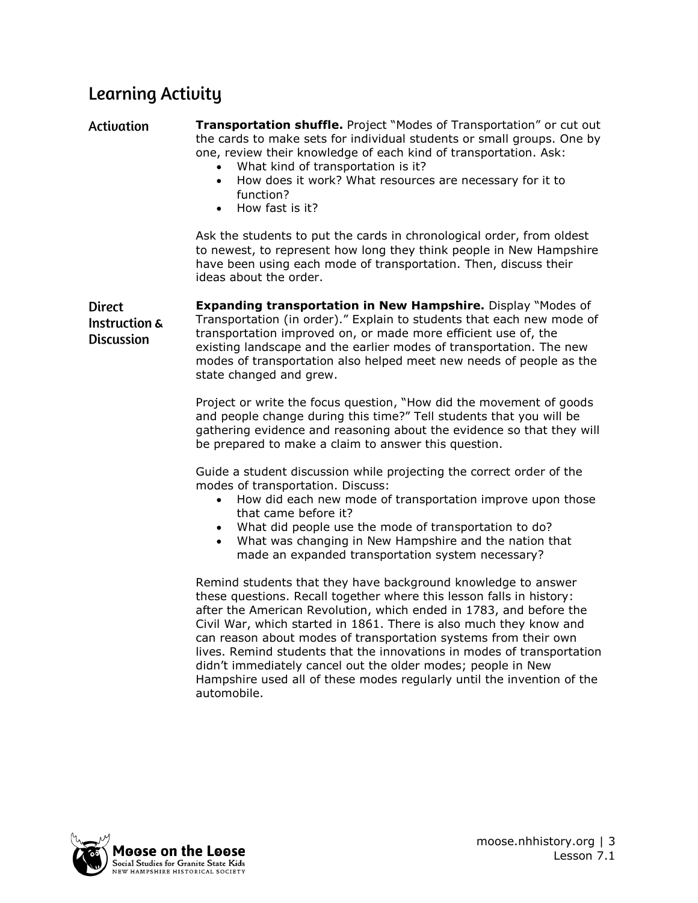## **Learning Activity**

**Activation Transportation shuffle.** Project "Modes of Transportation" or cut out the cards to make sets for individual students or small groups. One by one, review their knowledge of each kind of transportation. Ask:

- What kind of transportation is it?
- How does it work? What resources are necessary for it to function?
- How fast is it?

Ask the students to put the cards in chronological order, from oldest to newest, to represent how long they think people in New Hampshire have been using each mode of transportation. Then, discuss their ideas about the order.

**Expanding transportation in New Hampshire.** Display "Modes of **Direct** Transportation (in order)." Explain to students that each new mode of Instruction & transportation improved on, or made more efficient use of, the **Discussion** existing landscape and the earlier modes of transportation. The new modes of transportation also helped meet new needs of people as the state changed and grew.

> Project or write the focus question, "How did the movement of goods and people change during this time?" Tell students that you will be gathering evidence and reasoning about the evidence so that they will be prepared to make a claim to answer this question.

Guide a student discussion while projecting the correct order of the modes of transportation. Discuss:

- How did each new mode of transportation improve upon those that came before it?
- What did people use the mode of transportation to do?
- What was changing in New Hampshire and the nation that made an expanded transportation system necessary?

Remind students that they have background knowledge to answer these questions. Recall together where this lesson falls in history: after the American Revolution, which ended in 1783, and before the Civil War, which started in 1861. There is also much they know and can reason about modes of transportation systems from their own lives. Remind students that the innovations in modes of transportation didn't immediately cancel out the older modes; people in New Hampshire used all of these modes regularly until the invention of the automobile.

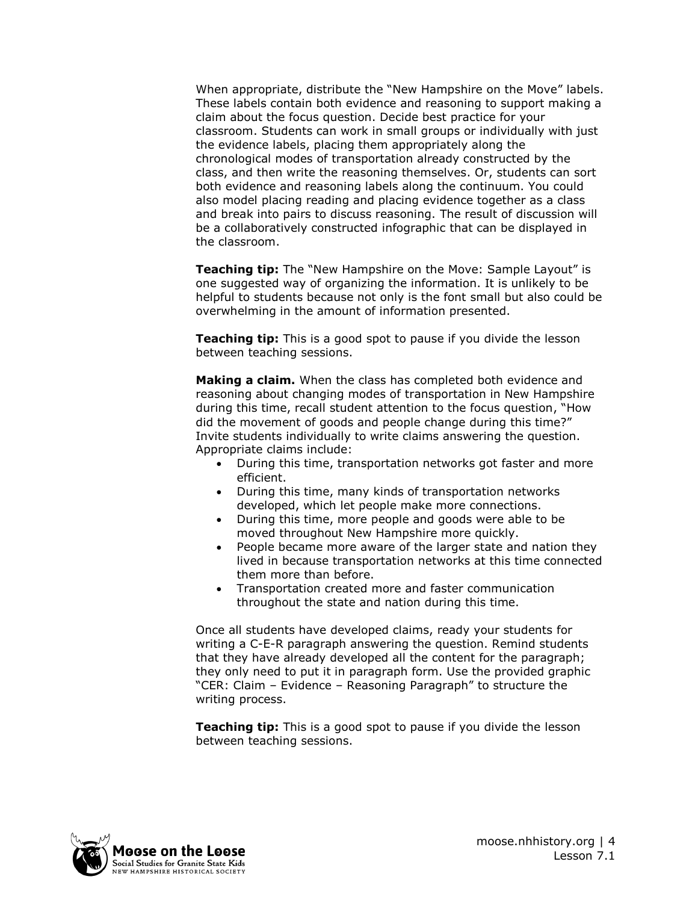When appropriate, distribute the "New Hampshire on the Move" labels. These labels contain both evidence and reasoning to support making a claim about the focus question. Decide best practice for your classroom. Students can work in small groups or individually with just the evidence labels, placing them appropriately along the chronological modes of transportation already constructed by the class, and then write the reasoning themselves. Or, students can sort both evidence and reasoning labels along the continuum. You could also model placing reading and placing evidence together as a class and break into pairs to discuss reasoning. The result of discussion will be a collaboratively constructed infographic that can be displayed in the classroom.

**Teaching tip:** The "New Hampshire on the Move: Sample Layout" is one suggested way of organizing the information. It is unlikely to be helpful to students because not only is the font small but also could be overwhelming in the amount of information presented.

**Teaching tip:** This is a good spot to pause if you divide the lesson between teaching sessions.

**Making a claim.** When the class has completed both evidence and reasoning about changing modes of transportation in New Hampshire during this time, recall student attention to the focus question, "How did the movement of goods and people change during this time?" Invite students individually to write claims answering the question. Appropriate claims include:

- During this time, transportation networks got faster and more efficient.
- During this time, many kinds of transportation networks developed, which let people make more connections.
- During this time, more people and goods were able to be moved throughout New Hampshire more quickly.
- People became more aware of the larger state and nation they lived in because transportation networks at this time connected them more than before.
- Transportation created more and faster communication throughout the state and nation during this time.

Once all students have developed claims, ready your students for writing a C-E-R paragraph answering the question. Remind students that they have already developed all the content for the paragraph; they only need to put it in paragraph form. Use the provided graphic "CER: Claim – Evidence – Reasoning Paragraph" to structure the writing process.

**Teaching tip:** This is a good spot to pause if you divide the lesson between teaching sessions.

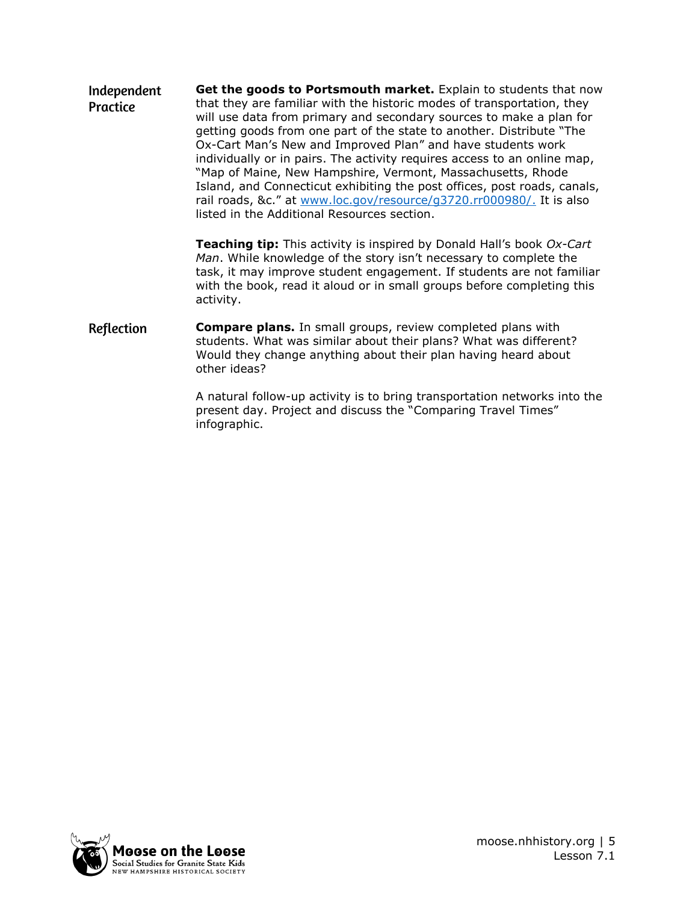**Get the goods to Portsmouth market.** Explain to students that now Independent that they are familiar with the historic modes of transportation, they Practice will use data from primary and secondary sources to make a plan for getting goods from one part of the state to another. Distribute "The Ox-Cart Man's New and Improved Plan" and have students work individually or in pairs. The activity requires access to an online map, "Map of Maine, New Hampshire, Vermont, Massachusetts, Rhode Island, and Connecticut exhibiting the post offices, post roads, canals, rail roads, &c." at [www.loc.gov/resource/g3720.rr000980/.](http://www.loc.gov/resource/g3720.rr000980/) It is also listed in the Additional Resources section.

> **Teaching tip:** This activity is inspired by Donald Hall's book *Ox-Cart Man*. While knowledge of the story isn't necessary to complete the task, it may improve student engagement. If students are not familiar with the book, read it aloud or in small groups before completing this activity.

Reflection **Compare plans.** In small groups, review completed plans with students. What was similar about their plans? What was different? Would they change anything about their plan having heard about other ideas?

> A natural follow-up activity is to bring transportation networks into the present day. Project and discuss the "Comparing Travel Times" infographic.

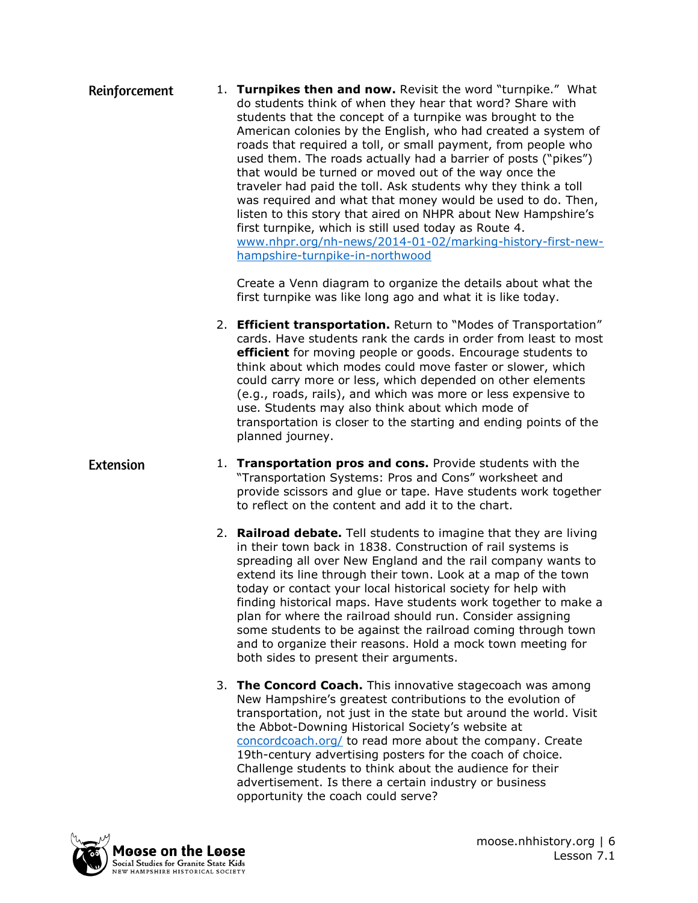1. **Turnpikes then and now.** Revisit the word "turnpike." What Reinforcement do students think of when they hear that word? Share with students that the concept of a turnpike was brought to the American colonies by the English, who had created a system of roads that required a toll, or small payment, from people who used them. The roads actually had a barrier of posts ("pikes") that would be turned or moved out of the way once the traveler had paid the toll. Ask students why they think a toll was required and what that money would be used to do. Then, listen to this story that aired on NHPR about New Hampshire's first turnpike, which is still used today as Route 4. [www.nhpr.org/nh-news/2014-01-02/marking-history-first-new](http://www.nhpr.org/nh-news/2014-01-02/marking-history-first-new-hampshire-turnpike-in-northwood)[hampshire-turnpike-in-northwood](http://www.nhpr.org/nh-news/2014-01-02/marking-history-first-new-hampshire-turnpike-in-northwood)

> Create a Venn diagram to organize the details about what the first turnpike was like long ago and what it is like today.

- 2. **Efficient transportation.** Return to "Modes of Transportation" cards. Have students rank the cards in order from least to most **efficient** for moving people or goods. Encourage students to think about which modes could move faster or slower, which could carry more or less, which depended on other elements (e.g., roads, rails), and which was more or less expensive to use. Students may also think about which mode of transportation is closer to the starting and ending points of the planned journey.
- **Extension** 1. **Transportation pros and cons.** Provide students with the "Transportation Systems: Pros and Cons" worksheet and provide scissors and glue or tape. Have students work together to reflect on the content and add it to the chart.
	- 2. **Railroad debate.** Tell students to imagine that they are living in their town back in 1838. Construction of rail systems is spreading all over New England and the rail company wants to extend its line through their town. Look at a map of the town today or contact your local historical society for help with finding historical maps. Have students work together to make a plan for where the railroad should run. Consider assigning some students to be against the railroad coming through town and to organize their reasons. Hold a mock town meeting for both sides to present their arguments.
	- 3. **The Concord Coach.** This innovative stagecoach was among New Hampshire's greatest contributions to the evolution of transportation, not just in the state but around the world. Visit the Abbot-Downing Historical Society's website at [concordcoach.org/](https://concordcoach.org/) to read more about the company. Create 19th-century advertising posters for the coach of choice. Challenge students to think about the audience for their advertisement. Is there a certain industry or business opportunity the coach could serve?

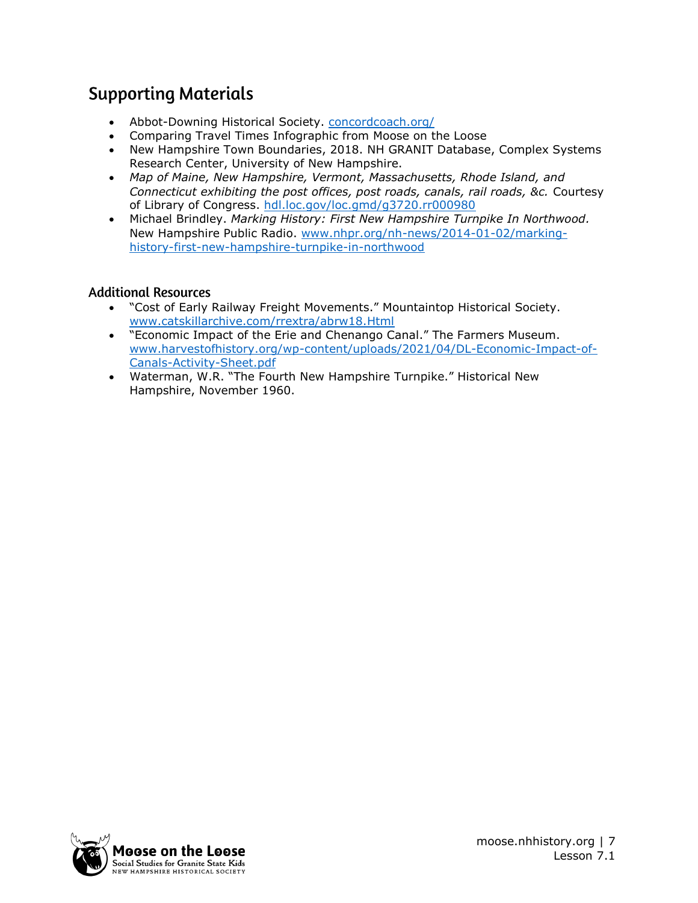### **Supporting Materials**

- Abbot-Downing Historical Society. [concordcoach.org/](https://concordcoach.org/)
- Comparing Travel Times Infographic from Moose on the Loose
- New Hampshire Town Boundaries, 2018. NH GRANIT Database, Complex Systems Research Center, University of New Hampshire.
- *Map of Maine, New Hampshire, Vermont, Massachusetts, Rhode Island, and Connecticut exhibiting the post offices, post roads, canals, rail roads, &c.* Courtesy of Library of Congress. [hdl.loc.gov/loc.gmd/g3720.rr000980](http://hdl.loc.gov/loc.gmd/g3720.rr000980)
- Michael Brindley. *Marking History: First New Hampshire Turnpike In Northwood.* New Hampshire Public Radio. [www.nhpr.org/nh-news/2014-01-02/marking](http://www.nhpr.org/nh-news/2014-01-02/marking-history-first-new-hampshire-turnpike-in-northwood)[history-first-new-hampshire-turnpike-in-northwood](http://www.nhpr.org/nh-news/2014-01-02/marking-history-first-new-hampshire-turnpike-in-northwood)

#### **Additional Resources**

- "Cost of Early Railway Freight Movements." Mountaintop Historical Society. [www.catskillarchive.com/rrextra/abrw18.Html](http://www.catskillarchive.com/rrextra/abrw18.Html)
- "Economic Impact of the Erie and Chenango Canal." The Farmers Museum. [www.harvestofhistory.org/wp-content/uploads/2021/04/DL-Economic-Impact-of-](http://www.harvestofhistory.org/wp-content/uploads/2021/04/DL-Economic-Impact-of-Canals-Activity-Sheet.pdf)[Canals-Activity-Sheet.pdf](http://www.harvestofhistory.org/wp-content/uploads/2021/04/DL-Economic-Impact-of-Canals-Activity-Sheet.pdf)
- Waterman, W.R. "The Fourth New Hampshire Turnpike." Historical New Hampshire, November 1960.

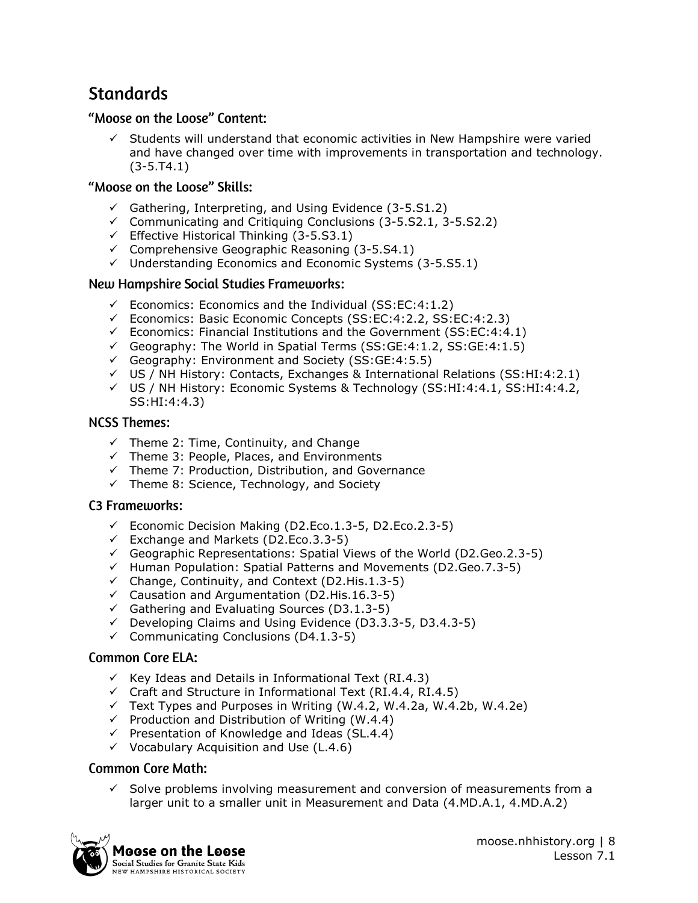### **Standards**

#### "Moose on the Loose" Content:

Students will understand that economic activities in New Hampshire were varied and have changed over time with improvements in transportation and technology. (3-5.T4.1)

#### "Moose on the Loose" Skills:

- $\checkmark$  Gathering, Interpreting, and Using Evidence (3-5.S1.2)
- ✓ Communicating and Critiquing Conclusions (3-5.S2.1, 3-5.S2.2)
- $\checkmark$  Effective Historical Thinking (3-5.S3.1)
- $\checkmark$  Comprehensive Geographic Reasoning (3-5.S4.1)
- ✓ Understanding Economics and Economic Systems (3-5.S5.1)

#### **New Hampshire Social Studies Frameworks:**

- ✓ Economics: Economics and the Individual (SS:EC:4:1.2)
- ✓ Economics: Basic Economic Concepts (SS:EC:4:2.2, SS:EC:4:2.3)
- ✓ Economics: Financial Institutions and the Government (SS:EC:4:4.1)
- $\checkmark$  Geography: The World in Spatial Terms (SS: GE: 4:1.2, SS: GE: 4:1.5)
- ✓ Geography: Environment and Society (SS:GE:4:5.5)
- ✓ US / NH History: Contacts, Exchanges & International Relations (SS:HI:4:2.1)
- ✓ US / NH History: Economic Systems & Technology (SS:HI:4:4.1, SS:HI:4:4.2, SS:HI:4:4.3)

#### **NCSS Themes:**

- $\checkmark$  Theme 2: Time, Continuity, and Change
- ✓ Theme 3: People, Places, and Environments
- ✓ Theme 7: Production, Distribution, and Governance
- $\checkmark$  Theme 8: Science, Technology, and Society

#### **C3 Frameworks:**

- ✓ Economic Decision Making (D2.Eco.1.3-5, D2.Eco.2.3-5)
- ✓ Exchange and Markets (D2.Eco.3.3-5)
- ✓ Geographic Representations: Spatial Views of the World (D2.Geo.2.3-5)
- ✓ Human Population: Spatial Patterns and Movements (D2.Geo.7.3-5)
- $\checkmark$  Change, Continuity, and Context (D2.His.1.3-5)
- ✓ Causation and Argumentation (D2.His.16.3-5)
- $\checkmark$  Gathering and Evaluating Sources (D3.1.3-5)
- ✓ Developing Claims and Using Evidence (D3.3.3-5, D3.4.3-5)
- ✓ Communicating Conclusions (D4.1.3-5)

#### **Common Core ELA:**

- $\checkmark$  Key Ideas and Details in Informational Text (RI.4.3)
- $\checkmark$  Craft and Structure in Informational Text (RI.4.4, RI.4.5)
- $\checkmark$  Text Types and Purposes in Writing (W.4.2, W.4.2a, W.4.2b, W.4.2e)
- $\checkmark$  Production and Distribution of Writing (W.4.4)
- ✓ Presentation of Knowledge and Ideas (SL.4.4)
- $\checkmark$  Vocabulary Acquisition and Use (L.4.6)

#### **Common Core Math:**

 $\checkmark$  Solve problems involving measurement and conversion of measurements from a larger unit to a smaller unit in Measurement and Data (4.MD.A.1, 4.MD.A.2)